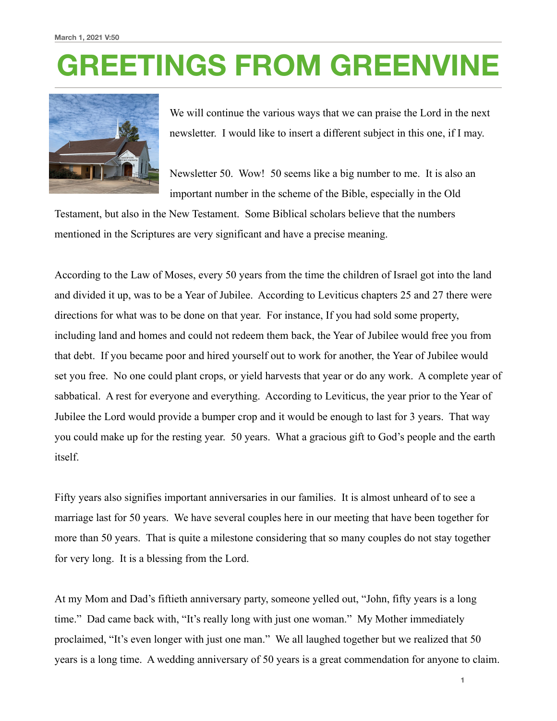## **GREETINGS FROM GREENVINE**



We will continue the various ways that we can praise the Lord in the next newsletter. I would like to insert a different subject in this one, if I may.

Newsletter 50. Wow! 50 seems like a big number to me. It is also an important number in the scheme of the Bible, especially in the Old

Testament, but also in the New Testament. Some Biblical scholars believe that the numbers mentioned in the Scriptures are very significant and have a precise meaning.

According to the Law of Moses, every 50 years from the time the children of Israel got into the land and divided it up, was to be a Year of Jubilee. According to Leviticus chapters 25 and 27 there were directions for what was to be done on that year. For instance, If you had sold some property, including land and homes and could not redeem them back, the Year of Jubilee would free you from that debt. If you became poor and hired yourself out to work for another, the Year of Jubilee would set you free. No one could plant crops, or yield harvests that year or do any work. A complete year of sabbatical. A rest for everyone and everything. According to Leviticus, the year prior to the Year of Jubilee the Lord would provide a bumper crop and it would be enough to last for 3 years. That way you could make up for the resting year. 50 years. What a gracious gift to God's people and the earth itself.

Fifty years also signifies important anniversaries in our families. It is almost unheard of to see a marriage last for 50 years. We have several couples here in our meeting that have been together for more than 50 years. That is quite a milestone considering that so many couples do not stay together for very long. It is a blessing from the Lord.

At my Mom and Dad's fiftieth anniversary party, someone yelled out, "John, fifty years is a long time." Dad came back with, "It's really long with just one woman." My Mother immediately proclaimed, "It's even longer with just one man." We all laughed together but we realized that 50 years is a long time. A wedding anniversary of 50 years is a great commendation for anyone to claim.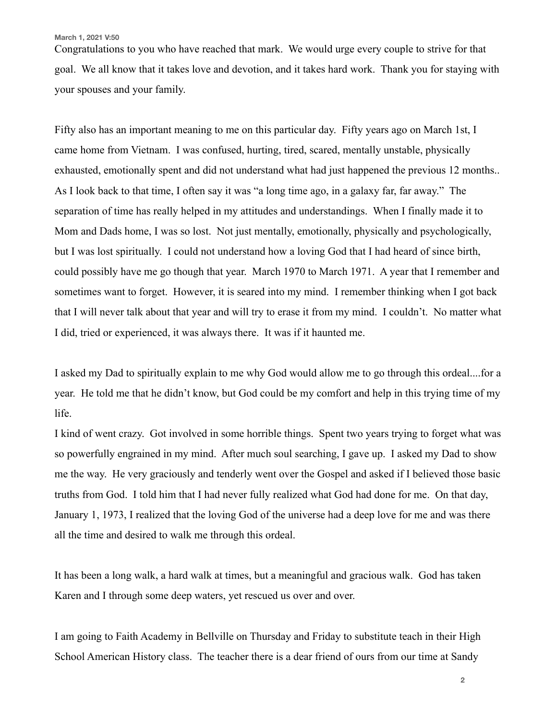**March 1, 2021 V:50**

Congratulations to you who have reached that mark. We would urge every couple to strive for that goal. We all know that it takes love and devotion, and it takes hard work. Thank you for staying with your spouses and your family.

Fifty also has an important meaning to me on this particular day. Fifty years ago on March 1st, I came home from Vietnam. I was confused, hurting, tired, scared, mentally unstable, physically exhausted, emotionally spent and did not understand what had just happened the previous 12 months.. As I look back to that time, I often say it was "a long time ago, in a galaxy far, far away." The separation of time has really helped in my attitudes and understandings. When I finally made it to Mom and Dads home, I was so lost. Not just mentally, emotionally, physically and psychologically, but I was lost spiritually. I could not understand how a loving God that I had heard of since birth, could possibly have me go though that year. March 1970 to March 1971. A year that I remember and sometimes want to forget. However, it is seared into my mind. I remember thinking when I got back that I will never talk about that year and will try to erase it from my mind. I couldn't. No matter what I did, tried or experienced, it was always there. It was if it haunted me.

I asked my Dad to spiritually explain to me why God would allow me to go through this ordeal....for a year. He told me that he didn't know, but God could be my comfort and help in this trying time of my life.

I kind of went crazy. Got involved in some horrible things. Spent two years trying to forget what was so powerfully engrained in my mind. After much soul searching, I gave up. I asked my Dad to show me the way. He very graciously and tenderly went over the Gospel and asked if I believed those basic truths from God. I told him that I had never fully realized what God had done for me. On that day, January 1, 1973, I realized that the loving God of the universe had a deep love for me and was there all the time and desired to walk me through this ordeal.

It has been a long walk, a hard walk at times, but a meaningful and gracious walk. God has taken Karen and I through some deep waters, yet rescued us over and over.

I am going to Faith Academy in Bellville on Thursday and Friday to substitute teach in their High School American History class. The teacher there is a dear friend of ours from our time at Sandy

**2**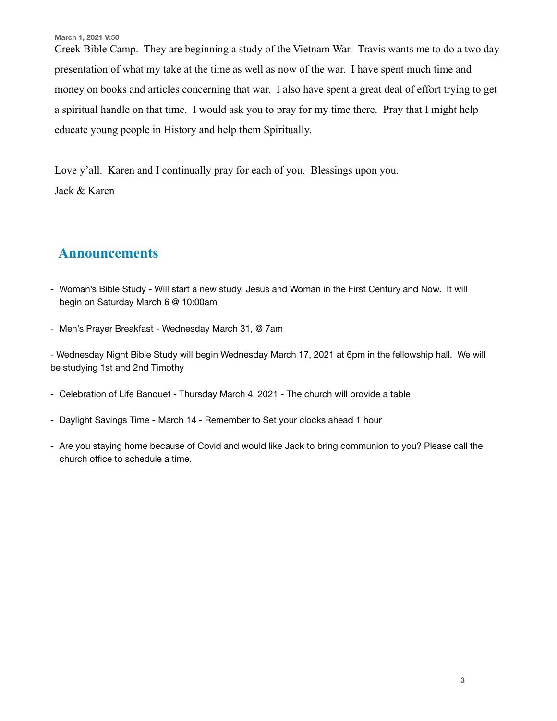**March 1, 2021 V:50**

Creek Bible Camp. They are beginning a study of the Vietnam War. Travis wants me to do a two day presentation of what my take at the time as well as now of the war. I have spent much time and money on books and articles concerning that war. I also have spent a great deal of effort trying to get a spiritual handle on that time. I would ask you to pray for my time there. Pray that I might help educate young people in History and help them Spiritually.

Love y'all. Karen and I continually pray for each of you. Blessings upon you. Jack & Karen

## **Announcements**

- Woman's Bible Study Will start a new study, Jesus and Woman in the First Century and Now. It will begin on Saturday March 6 @ 10:00am
- Men's Prayer Breakfast Wednesday March 31, @ 7am

- Wednesday Night Bible Study will begin Wednesday March 17, 2021 at 6pm in the fellowship hall. We will be studying 1st and 2nd Timothy

- Celebration of Life Banquet Thursday March 4, 2021 The church will provide a table
- Daylight Savings Time March 14 Remember to Set your clocks ahead 1 hour
- Are you staying home because of Covid and would like Jack to bring communion to you? Please call the church office to schedule a time.